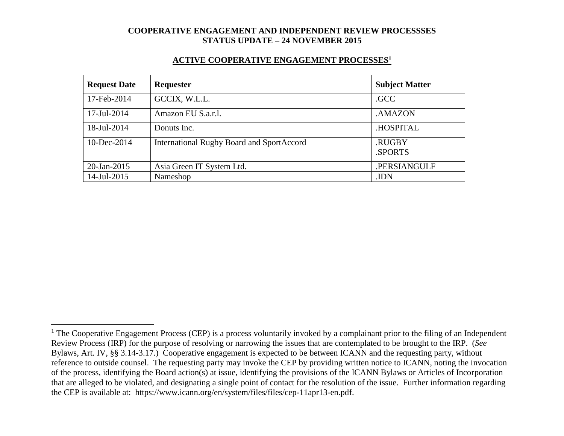#### **ACTIVE COOPERATIVE ENGAGEMENT PROCESSES<sup>1</sup>**

| <b>Request Date</b> | Requester                                        | <b>Subject Matter</b> |
|---------------------|--------------------------------------------------|-----------------------|
| 17-Feb-2014         | GCCIX, W.L.L.                                    | .GCC                  |
| 17-Jul-2014         | Amazon EU S.a.r.l.                               | .AMAZON               |
| 18-Jul-2014         | Donuts Inc.                                      | <b>HOSPITAL</b>       |
| $10$ -Dec-2014      | <b>International Rugby Board and SportAccord</b> | .RUGBY<br>.SPORTS     |
| 20-Jan-2015         | Asia Green IT System Ltd.                        | .PERSIANGULF          |
| 14-Jul-2015         | Nameshop                                         | .IDN                  |

 $\overline{a}$ 

 $1$  The Cooperative Engagement Process (CEP) is a process voluntarily invoked by a complainant prior to the filing of an Independent Review Process (IRP) for the purpose of resolving or narrowing the issues that are contemplated to be brought to the IRP. (*See* Bylaws, Art. IV, §§ 3.14-3.17.) Cooperative engagement is expected to be between ICANN and the requesting party, without reference to outside counsel. The requesting party may invoke the CEP by providing written notice to ICANN, noting the invocation of the process, identifying the Board action(s) at issue, identifying the provisions of the ICANN Bylaws or Articles of Incorporation that are alleged to be violated, and designating a single point of contact for the resolution of the issue. Further information regarding the CEP is available at: https://www.icann.org/en/system/files/files/cep-11apr13-en.pdf.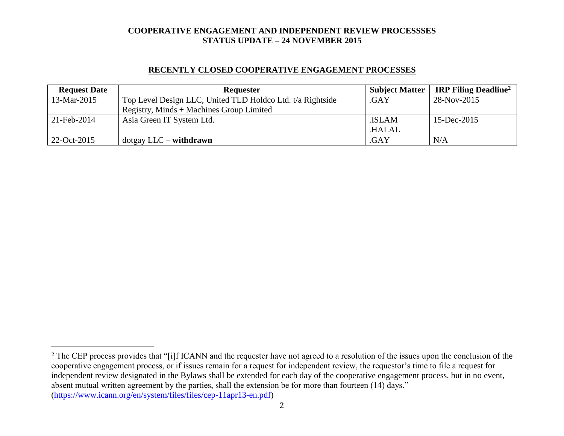### **RECENTLY CLOSED COOPERATIVE ENGAGEMENT PROCESSES**

| <b>Request Date</b> | <b>Requester</b>                                           | <b>Subject Matter</b> | <b>IRP Filing Deadline</b> <sup>2</sup> |
|---------------------|------------------------------------------------------------|-----------------------|-----------------------------------------|
| 13-Mar-2015         | Top Level Design LLC, United TLD Holdco Ltd. t/a Rightside | .GAY                  | 28-Nov-2015                             |
|                     | Registry, Minds $+$ Machines Group Limited                 |                       |                                         |
| 21-Feb-2014         | Asia Green IT System Ltd.                                  | .ISLAM                | 15-Dec-2015                             |
|                     |                                                            | .HALAL                |                                         |
| 22-Oct-2015         | $dot$ gay LLC – withdrawn                                  | .GAY                  | N/A                                     |

l

<sup>&</sup>lt;sup>2</sup> The CEP process provides that "[i]f ICANN and the requester have not agreed to a resolution of the issues upon the conclusion of the cooperative engagement process, or if issues remain for a request for independent review, the requestor's time to file a request for independent review designated in the Bylaws shall be extended for each day of the cooperative engagement process, but in no event, absent mutual written agreement by the parties, shall the extension be for more than fourteen (14) days." (https://www.icann.org/en/system/files/files/cep-11apr13-en.pdf)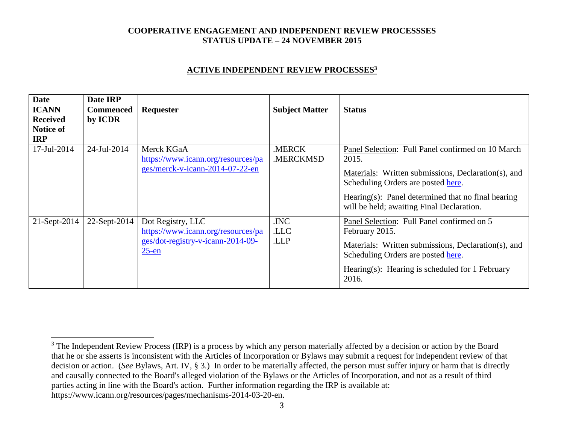### **ACTIVE INDEPENDENT REVIEW PROCESSES<sup>3</sup>**

| <b>Date</b><br><b>ICANN</b><br><b>Received</b><br><b>Notice of</b><br><b>IRP</b> | Date IRP<br><b>Commenced</b><br>by ICDR | Requester                                                                                                | <b>Subject Matter</b> | <b>Status</b>                                                                                                                                                                                                                                              |
|----------------------------------------------------------------------------------|-----------------------------------------|----------------------------------------------------------------------------------------------------------|-----------------------|------------------------------------------------------------------------------------------------------------------------------------------------------------------------------------------------------------------------------------------------------------|
| 17-Jul-2014                                                                      | 24-Jul-2014                             | Merck KGaA<br>https://www.icann.org/resources/pa<br>ges/merck-v-icann-2014-07-22-en                      | .MERCK<br>.MERCKMSD   | Panel Selection: Full Panel confirmed on 10 March<br>2015.<br>Materials: Written submissions, Declaration(s), and<br>Scheduling Orders are posted here.<br>Hearing(s): Panel determined that no final hearing<br>will be held; awaiting Final Declaration. |
| $21$ -Sept-2014                                                                  | 22-Sept-2014                            | Dot Registry, LLC<br>https://www.icann.org/resources/pa<br>ges/dot-registry-v-icann-2014-09-<br>$25$ -en | .INC<br>.LLC<br>.LLP  | Panel Selection: Full Panel confirmed on 5<br>February 2015.<br>Materials: Written submissions, Declaration(s), and<br>Scheduling Orders are posted here.<br>Hearing(s): Hearing is scheduled for 1 February<br>2016.                                      |

 $\overline{a}$ 

<sup>&</sup>lt;sup>3</sup> The Independent Review Process (IRP) is a process by which any person materially affected by a decision or action by the Board that he or she asserts is inconsistent with the Articles of Incorporation or Bylaws may submit a request for independent review of that decision or action. (*See* Bylaws, Art. IV, § 3.) In order to be materially affected, the person must suffer injury or harm that is directly and causally connected to the Board's alleged violation of the Bylaws or the Articles of Incorporation, and not as a result of third parties acting in line with the Board's action. Further information regarding the IRP is available at: https://www.icann.org/resources/pages/mechanisms-2014-03-20-en.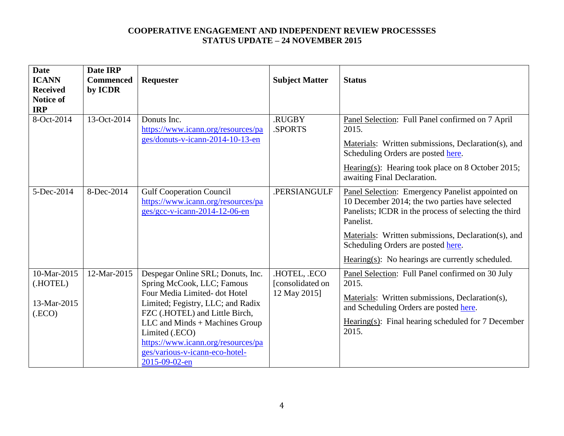| <b>Date</b><br><b>ICANN</b><br><b>Received</b><br><b>Notice of</b><br><b>IRP</b> | Date IRP<br><b>Commenced</b><br>by ICDR | <b>Requester</b>                                                                                                                                                                                                                                                                                                    | <b>Subject Matter</b>                          | <b>Status</b>                                                                                                                                                                                                                                                                                                              |
|----------------------------------------------------------------------------------|-----------------------------------------|---------------------------------------------------------------------------------------------------------------------------------------------------------------------------------------------------------------------------------------------------------------------------------------------------------------------|------------------------------------------------|----------------------------------------------------------------------------------------------------------------------------------------------------------------------------------------------------------------------------------------------------------------------------------------------------------------------------|
| 8-Oct-2014                                                                       | 13-Oct-2014                             | Donuts Inc.<br>https://www.icann.org/resources/pa<br>ges/donuts-v-icann-2014-10-13-en                                                                                                                                                                                                                               | .RUGBY<br>.SPORTS                              | Panel Selection: Full Panel confirmed on 7 April<br>2015.<br>Materials: Written submissions, Declaration(s), and<br>Scheduling Orders are posted here.<br>Hearing(s): Hearing took place on 8 October 2015;<br>awaiting Final Declaration.                                                                                 |
| 5-Dec-2014                                                                       | 8-Dec-2014                              | <b>Gulf Cooperation Council</b><br>https://www.icann.org/resources/pa<br>ges/gcc-v-icann-2014-12-06-en                                                                                                                                                                                                              | .PERSIANGULF                                   | Panel Selection: Emergency Panelist appointed on<br>10 December 2014; the two parties have selected<br>Panelists; ICDR in the process of selecting the third<br>Panelist.<br>Materials: Written submissions, Declaration(s), and<br>Scheduling Orders are posted here.<br>Hearing(s): No hearings are currently scheduled. |
| 10-Mar-2015<br>(.HOTEL)<br>13-Mar-2015<br>(ECO)                                  | 12-Mar-2015                             | Despegar Online SRL; Donuts, Inc.<br>Spring McCook, LLC; Famous<br>Four Media Limited-dot Hotel<br>Limited; Fegistry, LLC; and Radix<br>FZC (.HOTEL) and Little Birch,<br>LLC and Minds + Machines Group<br>Limited (.ECO)<br>https://www.icann.org/resources/pa<br>ges/various-v-icann-eco-hotel-<br>2015-09-02-en | HOTEL, ECO<br>[consolidated on<br>12 May 2015] | Panel Selection: Full Panel confirmed on 30 July<br>2015.<br>Materials: Written submissions, Declaration(s),<br>and Scheduling Orders are posted here.<br>Hearing(s): Final hearing scheduled for $7$ December<br>2015.                                                                                                    |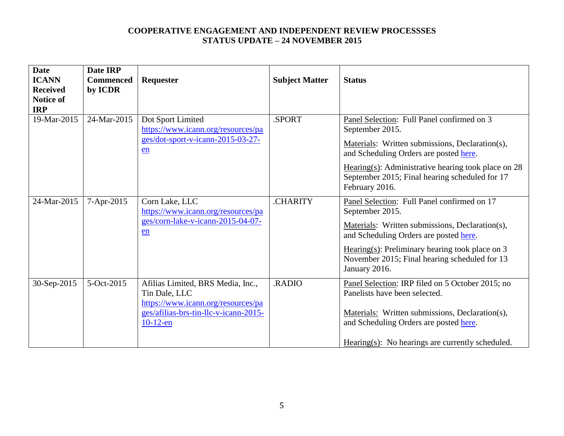| <b>Date</b><br><b>ICANN</b><br><b>Received</b><br><b>Notice of</b><br><b>IRP</b> | Date IRP<br><b>Commenced</b><br>by ICDR | Requester                                                                                                                                        | <b>Subject Matter</b> | <b>Status</b>                                                                                                                                                                                                                                                                           |
|----------------------------------------------------------------------------------|-----------------------------------------|--------------------------------------------------------------------------------------------------------------------------------------------------|-----------------------|-----------------------------------------------------------------------------------------------------------------------------------------------------------------------------------------------------------------------------------------------------------------------------------------|
| 19-Mar-2015                                                                      | 24-Mar-2015                             | Dot Sport Limited<br>https://www.icann.org/resources/pa<br>ges/dot-sport-v-icann-2015-03-27-<br>en                                               | SPORT.                | Panel Selection: Full Panel confirmed on 3<br>September 2015.<br>Materials: Written submissions, Declaration(s),<br>and Scheduling Orders are posted here.<br>Hearing(s): Administrative hearing took place on $28$<br>September 2015; Final hearing scheduled for 17<br>February 2016. |
| 24-Mar-2015                                                                      | 7-Apr-2015                              | Corn Lake, LLC<br>https://www.icann.org/resources/pa<br>ges/corn-lake-v-icann-2015-04-07-<br>en                                                  | <b>CHARITY</b>        | Panel Selection: Full Panel confirmed on 17<br>September 2015.<br>Materials: Written submissions, Declaration(s),<br>and Scheduling Orders are posted here.<br>Hearing(s): Preliminary hearing took place on $3$<br>November 2015; Final hearing scheduled for 13<br>January 2016.      |
| 30-Sep-2015                                                                      | 5-Oct-2015                              | Afilias Limited, BRS Media, Inc.,<br>Tin Dale, LLC<br>https://www.icann.org/resources/pa<br>ges/afilias-brs-tin-llc-v-icann-2015-<br>$10-12$ -en | .RADIO                | Panel Selection: IRP filed on 5 October 2015; no<br>Panelists have been selected.<br>Materials: Written submissions, Declaration(s),<br>and Scheduling Orders are posted here.<br>$Hearing(s)$ : No hearings are currently scheduled.                                                   |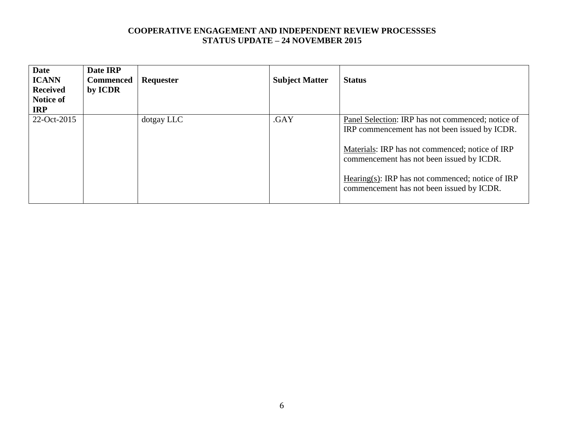| <b>ICANN</b><br><b>Commenced</b><br><b>Received</b><br>by ICDR<br>Notice of<br><b>IRP</b> | Requester  | <b>Subject Matter</b> | <b>Status</b>                                                                                                                                                                                                                                                                                       |
|-------------------------------------------------------------------------------------------|------------|-----------------------|-----------------------------------------------------------------------------------------------------------------------------------------------------------------------------------------------------------------------------------------------------------------------------------------------------|
| 22-Oct-2015                                                                               | dotgay LLC | .GAY                  | Panel Selection: IRP has not commenced; notice of<br>IRP commencement has not been issued by ICDR.<br>Materials: IRP has not commenced; notice of IRP<br>commencement has not been issued by ICDR.<br>Hearing(s): IRP has not commenced; notice of IRP<br>commencement has not been issued by ICDR. |